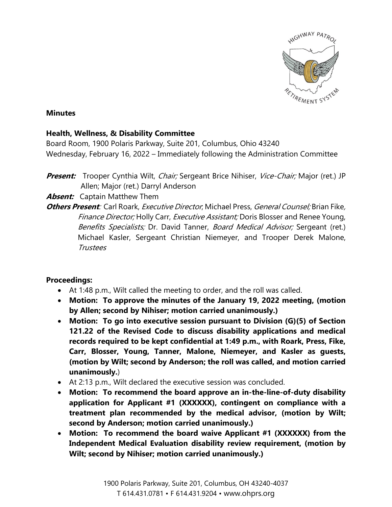

#### **Minutes**

### **Health, Wellness, & Disability Committee**

Board Room, 1900 Polaris Parkway, Suite 201, Columbus, Ohio 43240 Wednesday, February 16, 2022 – Immediately following the Administration Committee

# **Present:** Trooper Cynthia Wilt, *Chair;* Sergeant Brice Nihiser, *Vice-Chair;* Major (ret.) JP Allen; Major (ret.) Darryl Anderson

## **Absent:** Captain Matthew Them

**Others Present**: Carl Roark, Executive Director; Michael Press, General Counsel; Brian Fike, Finance Director; Holly Carr, Executive Assistant; Doris Blosser and Renee Young, Benefits Specialists; Dr. David Tanner, Board Medical Advisor; Sergeant (ret.) Michael Kasler, Sergeant Christian Niemeyer, and Trooper Derek Malone, Trustees

### **Proceedings:**

- At 1:48 p.m., Wilt called the meeting to order, and the roll was called.
- **Motion: To approve the minutes of the January 19, 2022 meeting, (motion by Allen; second by Nihiser; motion carried unanimously.)**
- **Motion: To go into executive session pursuant to Division (G)(5) of Section 121.22 of the Revised Code to discuss disability applications and medical records required to be kept confidential at 1:49 p.m., with Roark, Press, Fike, Carr, Blosser, Young, Tanner, Malone, Niemeyer, and Kasler as guests, (motion by Wilt; second by Anderson; the roll was called, and motion carried unanimously.**)
- At 2:13 p.m., Wilt declared the executive session was concluded.
- **Motion: To recommend the board approve an in-the-line-of-duty disability application for Applicant #1 (XXXXXX), contingent on compliance with a treatment plan recommended by the medical advisor, (motion by Wilt; second by Anderson; motion carried unanimously.)**
- **Motion: To recommend the board waive Applicant #1 (XXXXXX) from the Independent Medical Evaluation disability review requirement, (motion by Wilt; second by Nihiser; motion carried unanimously.)**